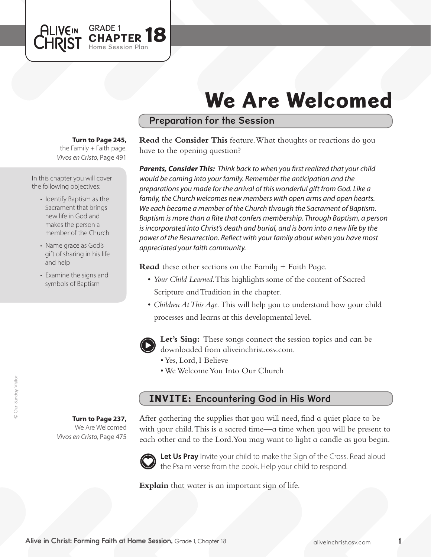# We Are Welcomed

## Preparation for the Session

#### **Turn to Page 245,**

GRADE 1

Home Session Plan

PTER 18

*Vivos en Cristo,* Page 491 the Family  $+$  Faith page.

In this chapter you will cover the following objectives:

**ALIVEIN LHRIST** 

- Identify Baptism as the Sacrament that brings new life in God and makes the person a member of the Church
- Name grace as God's gift of sharing in his life and help
- Examine the signs and symbols of Baptism

**Read** the **Consider This** feature. What thoughts or reactions do you have to the opening question?

*Parents, Consider This: Think back to when you first realized that your child would be coming into your family. Remember the anticipation and the preparations you made for the arrival of this wonderful gift from God. Like a family, the Church welcomes new members with open arms and open hearts. We each became a member of the Church through the Sacrament of Baptism. Baptism is more than a Rite that confers membership. Through Baptism, a person*  is incorporated into Christ's death and burial, and is born into a new life by the *power of the Resurrection. Reflect with your family about when you have most appreciated your faith community.* 

**Read** these other sections on the Family + Faith Page.

- *Your Child Learned*. This highlights some of the content of Sacred Scripture and Tradition in the chapter.
- • *Children At This Age.* This will help you to understand how your child processes and learns at this developmental level.



**Let's Sing:** These songs connect the session topics and can be downloaded from aliveinchrist.osv.com.

- • Yes, Lord, I Believe
- We Welcome You Into Our Church

## INVITE: Encountering God in His Word

**Turn to Page 237,** We Are Welcomed *Vivos en Cristo,* Page 475

After gathering the supplies that you will need, find a quiet place to be with your child. This is a sacred time—a time when you will be present to each other and to the Lord.You may want to light a candle as you begin.



Let Us Pray Invite your child to make the Sign of the Cross. Read aloud the Psalm verse from the book. Help your child to respond.

**Explain** that water is an important sign of life.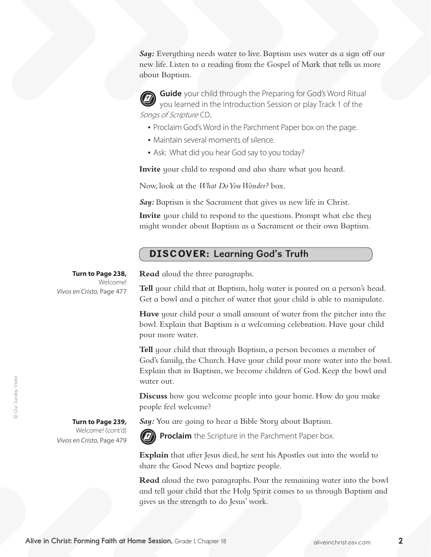**Say:** Everything needs water to live. Baptism uses water as a sign off our new life. Listen to a reading from the Gospel of Mark that tells us more about Baptism.

**Guide** your child through the Preparing for God's Word Ritual you learned in the Introduction Session or play Track 1 of the Songs of Scripture CD.

- Proclaim God's Word in the Parchment Paper box on the page.
- Maintain several moments of silence.
- Ask: What did you hear God say to you today?

**Invite** your child to respond and also share what you heard.

Now, look at the *What Do You Wonder?* box.

*Say:* Baptism is the Sacrament that gives us new life in Christ.

**Invite** your child to respond to the questions. Prompt what else they might wonder about Baptism as a Sacrament or their own Baptism.

## DISCOVER: Learning God's Truth

**Turn to Page 238,** Welcome! *Vivos en Cristo,* Page 477

> **Turn to Page 239,**  Welcome! (cont'd)

*Vivos en Cristo,* Page 479

**Read** aloud the three paragraphs.

**Tell** your child that at Baptism, holy water is poured on a person's head. Get a bowl and a pitcher of water that your child is able to manipulate.

**Have** your child pour a small amount of water from the pitcher into the bowl. Explain that Baptism is a welcoming celebration. Have your child pour more water.

**Tell** your child that through Baptism, a person becomes a member of God's family, the Church. Have your child pour more water into the bowl. Explain that in Baptism, we become children of God. Keep the bowl and water out.

**Discuss** how you welcome people into your home. How do you make people feel welcome?

*Say:* You are going to hear a Bible Story about Baptism.



**Proclaim** the Scripture in the Parchment Paper box.

**Explain** that after Jesus died, he sent his Apostles out into the world to share the Good News and baptize people.

**Read** aloud the two paragraphs. Pour the remaining water into the bowl and tell your child that the Holy Spirit comes to us through Baptism and gives us the strength to do Jesus' work.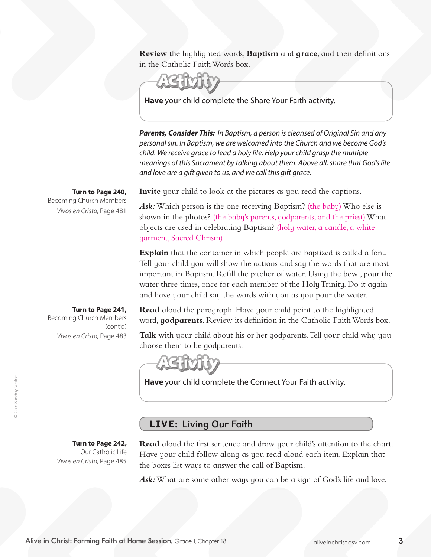**Review** the highlighted words, **Baptism** and **grace**, and their definitions in the Catholic Faith Words box.

**Have** your child complete the Share Your Faith activity.

*Parents, Consider This: In Baptism, a person is cleansed of Original Sin and any personal sin. In Baptism, we are welcomed into the Church and we become God's child. We receive grace to lead a holy life. Help your child grasp the multiple meanings of this Sacrament by talking about them. Above all, share that God's life and love are a gift given to us, and we call this gift grace.* 

**Invite** your child to look at the pictures as you read the captions.

Ask: Which person is the one receiving Baptism? (the baby) Who else is shown in the photos? (the baby's parents, godparents, and the priest) What objects are used in celebrating Baptism? (holy water, a candle, a white garment, Sacred Chrism)

**Explain** that the container in which people are baptized is called a font. Tell your child you will show the actions and say the words that are most important in Baptism. Refill the pitcher of water. Using the bowl, pour the water three times, once for each member of the Holy Trinity. Do it again and have your child say the words with you as you pour the water.

**Read** aloud the paragraph. Have your child point to the highlighted word, **godparents**. Review its definition in the Catholic Faith Words box.

**Talk** with your child about his or her godparents. Tell your child why you choose them to be godparents.



**Have** your child complete the Connect Your Faith activity.

## LIVE: Living Our Faith

**Turn to Page 242,**  Our Catholic Life *Vivos en Cristo,* Page 485

**Read** aloud the first sentence and draw your child's attention to the chart. Have your child follow along as you read aloud each item. Explain that the boxes list ways to answer the call of Baptism.

Ask: What are some other ways you can be a sign of God's life and love.

**Turn to Page 241,** Becoming Church Members (cont'd) *Vivos en Cristo,* Page 483

**Turn to Page 240,**

Becoming Church Members

*Vivos en Cristo,* Page 481